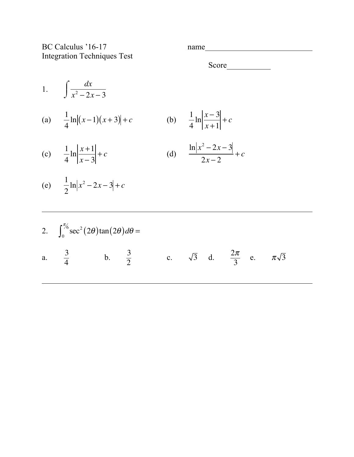BC Calculus '16-17 name Integration Techniques Test

Score

1.  $\int \frac{dx}{x^2+1}$  $x^2 - 2x - 3$  $\int$  $\int$  $\mathbf{I}$ (a)  $\frac{1}{4}$ 4 ln  $|(x-1)(x+3)|+c$  (b)  $\frac{1}{4}$ 4 ln *x* − 3 *x* +1 + *c* (c)  $\frac{1}{4}$ 4 ln *x* +1 *x* − 3  $+c$  (d)  $\ln |x^2 - 2x - 3|$  $2x - 2$ + *c* (e)  $\frac{1}{2}$ 2  $\ln |x^2 - 2x - 3| + c$ 2.  $\int_0^{\pi/6} \sec^2(2\theta) \tan(2\theta) d\theta =$ a.  $\frac{3}{4}$  b.  $\frac{3}{2}$  c.  $\sqrt{3}$  d.  $\frac{2\pi}{3}$  e.  $\pi\sqrt{3}$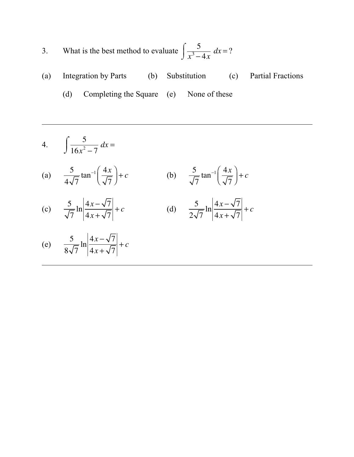3. What is the best method to evaluate  $\int_{\frac{3}{3}}^{5}$  $x^3 - 4x$  $\int$  $\int \frac{3}{x^3 - 4x} dx = ?$ 

(a) Integration by Parts (b) Substitution (c) Partial Fractions (d) Completing the Square (e) None of these

4. 
$$
\int \frac{5}{16x^2 - 7} \, dx =
$$

(a) 
$$
\frac{5}{4\sqrt{7}}\tan^{-1}\left(\frac{4x}{\sqrt{7}}\right) + c
$$
 (b)  $\frac{5}{\sqrt{7}}\tan^{-1}\left(\frac{4x}{\sqrt{7}}\right) + c$ 

(c) 
$$
\frac{5}{\sqrt{7}} \ln \left| \frac{4x - \sqrt{7}}{4x + \sqrt{7}} \right| + c
$$
 (d) 
$$
\frac{5}{2\sqrt{7}}
$$

$$
\frac{5}{2\sqrt{7}}\ln\left|\frac{4x-\sqrt{7}}{4x+\sqrt{7}}\right|+c
$$

(e) 
$$
\frac{5}{8\sqrt{7}} \ln \left| \frac{4x - \sqrt{7}}{4x + \sqrt{7}} \right| + c
$$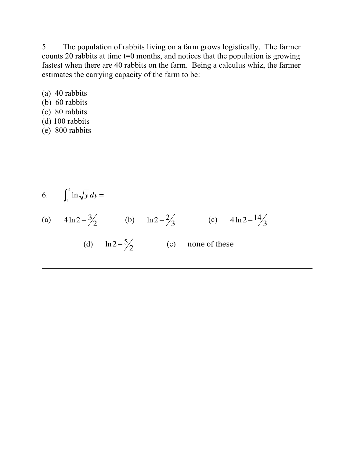5. The population of rabbits living on a farm grows logistically. The farmer counts 20 rabbits at time t=0 months, and notices that the population is growing fastest when there are 40 rabbits on the farm. Being a calculus whiz, the farmer estimates the carrying capacity of the farm to be:

- (a) 40 rabbits (b) 60 rabbits
- (c) 80 rabbits
- (d) 100 rabbits
- (e) 800 rabbits

6. 
$$
\int_1^4 \ln \sqrt{y} \, dy =
$$
  
\n(a)  $4 \ln 2 - \frac{3}{2}$  (b)  $\ln 2 - \frac{2}{3}$  (c)  $4 \ln 2 - \frac{14}{3}$   
\n(d)  $\ln 2 - \frac{5}{2}$  (e) none of these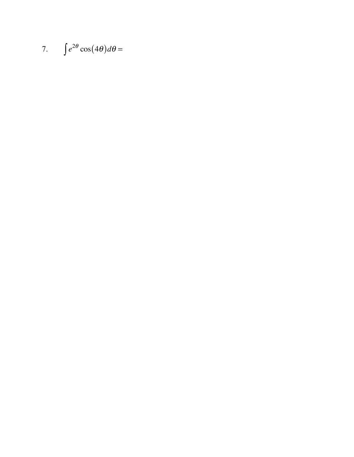7.  $\int e^{2\theta} \cos(4\theta) d\theta =$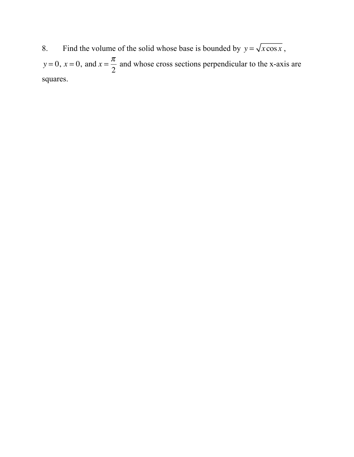8. Find the volume of the solid whose base is bounded by  $y = \sqrt{x \cos x}$ ,  $y = 0$ ,  $x = 0$ , and  $x = \frac{\pi}{2}$  and whose cross sections perpendicular to the x-axis are squares.